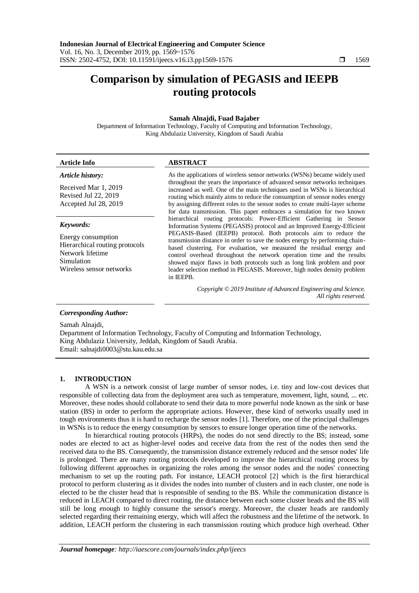# **Comparison by simulation of PEGASIS and IEEPB routing protocols**

### **Samah Alnajdi, Fuad Bajaber**

Department of Information Technology, Faculty of Computing and Information Technology, King Abdulaziz University, Kingdom of Saudi Arabia

| <b>Article Info</b>                                                                                                             | <b>ABSTRACT</b>                                                                                                                                                                                                                                                                                                                                                                                                                                                                                                                                                                                                                                                                                    |  |  |  |
|---------------------------------------------------------------------------------------------------------------------------------|----------------------------------------------------------------------------------------------------------------------------------------------------------------------------------------------------------------------------------------------------------------------------------------------------------------------------------------------------------------------------------------------------------------------------------------------------------------------------------------------------------------------------------------------------------------------------------------------------------------------------------------------------------------------------------------------------|--|--|--|
| Article history:<br>Received Mar 1, 2019<br>Revised Jul 22, 2019<br>Accepted Jul 28, 2019                                       | As the applications of wireless sensor networks (WSNs) became widely used<br>throughout the years the importance of advanced sensor networks techniques<br>increased as well. One of the main techniques used in WSNs is hierarchical<br>routing which mainly aims to reduce the consumption of sensor nodes energy<br>by assigning different roles to the sensor nodes to create multi-layer scheme                                                                                                                                                                                                                                                                                               |  |  |  |
| Keywords:<br>Energy consumption<br>Hierarchical routing protocols<br>Network lifetime<br>Simulation<br>Wireless sensor networks | for data transmission. This paper embraces a simulation for two known<br>hierarchical routing protocols: Power-Efficient Gathering in Sensor<br>Information Systems (PEGASIS) protocol and an Improved Energy-Efficient<br>PEGASIS-Based (IEEPB) protocol. Both protocols aim to reduce the<br>transmission distance in order to save the nodes energy by performing chain-<br>based clustering. For evaluation, we measured the residual energy and<br>control overhead throughout the network operation time and the results<br>showed major flaws in both protocols such as long link problem and poor<br>leader selection method in PEGASIS. Moreover, high nodes density problem<br>in IEEPB. |  |  |  |
|                                                                                                                                 | Copyright © 2019 Institute of Advanced Engineering and Science.<br>All rights reserved.                                                                                                                                                                                                                                                                                                                                                                                                                                                                                                                                                                                                            |  |  |  |

#### *Corresponding Author:*

Samah Alnajdi,

Department of Information Technology, Faculty of Computing and Information Technology, King Abdulaziz University, Jeddah, Kingdom of Saudi Arabia. Email: salnajdi0003@stu.kau.edu.sa

#### **1. INTRODUCTION**

A WSN is a network consist of large number of sensor nodes, i.e. tiny and low-cost devices that responsible of collecting data from the deployment area such as temperature, movement, light, sound, ... etc. Moreover, these nodes should collaborate to send their data to more powerful node known as the sink or base station (BS) in order to perform the appropriate actions. However, these kind of networks usually used in tough environments thus it is hard to recharge the sensor nodes [1]. Therefore, one of the principal challenges in WSNs is to reduce the energy consumption by sensors to ensure longer operation time of the networks.

In hierarchical routing protocols (HRPs), the nodes do not send directly to the BS; instead, some nodes are elected to act as higher-level nodes and receive data from the rest of the nodes then send the received data to the BS. Consequently, the transmission distance extremely reduced and the sensor nodes' life is prolonged. There are many routing protocols developed to improve the hierarchical routing process by following different approaches in organizing the roles among the sensor nodes and the nodes' connecting mechanism to set up the routing path. For instance, LEACH protocol [2] which is the first hierarchical protocol to perform clustering as it divides the nodes into number of clusters and in each cluster, one node is elected to be the cluster head that is responsible of sending to the BS. While the communication distance is reduced in LEACH compared to direct routing, the distance between each some cluster heads and the BS will still be long enough to highly consume the sensor's energy. Moreover, the cluster heads are randomly selected regarding their remaining energy, which will affect the robustness and the lifetime of the network. In addition, LEACH perform the clustering in each transmission routing which produce high overhead. Other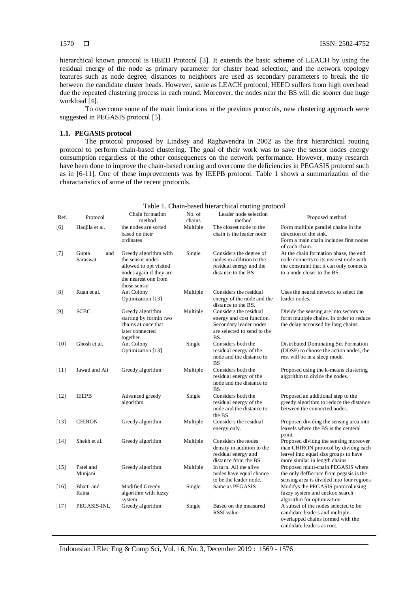hierarchical known protocol is HEED Protocol [3]. It extends the basic scheme of LEACH by using the residual energy of the node as primary parameter for cluster head selection, and the network topology features such as node degree, distances to neighbors are used as secondary parameters to break the tie between the candidate cluster heads. However, same as LEACH protocol, HEED suffers from high overhead due the repeated clustering process in each round. Moreover, the nodes near the BS will die sooner due huge workload [4].

To overcome some of the main limitations in the previous protocols, new clustering approach were suggested in PEGASIS protocol [5].

# **1.1. PEGASIS protocol**

The protocol proposed by Lindsey and Raghavendra in 2002 as the first hierarchical routing protocol to perform chain-based clustering. The goal of their work was to save the sensor nodes energy consumption regardless of the other consequences on the network performance. However, many research have been done to improve the chain-based routing and overcome the deficiencies in PEGASIS protocol such as in [6-11]. One of these improvements was by IEEPB protocol. Table 1 shows a summarization of the charactaristics of some of the recent protocols.

| Ref.             | Protocol       | Chain formation                                 | No. of   | Leader node selection                              | Proposed method                                                                 |
|------------------|----------------|-------------------------------------------------|----------|----------------------------------------------------|---------------------------------------------------------------------------------|
|                  |                | method                                          | chains   | method                                             |                                                                                 |
| $\overline{[6]}$ | Hadjila et al. | the nodes are sorted                            | Multiple | The closest node to the                            | Form multiple parallel chains in the                                            |
|                  |                | based on their                                  |          | chain is the leader node                           | direction of the sink.                                                          |
|                  |                | ordinates                                       |          |                                                    | Form a main chain includes first nodes                                          |
|                  |                |                                                 |          |                                                    | of each chain.                                                                  |
| $[7]$            | Gupta<br>and   | Greedy algorithm with                           | Single   | Considers the degree of                            | At the chain formation phase, the end                                           |
|                  | Saraswat       | the sensor nodes                                |          | nodes in addition to the                           | node connects to its nearest node with                                          |
|                  |                | allowed to opt visited                          |          | residual energy and the                            | the constraint that it can only connects                                        |
|                  |                | nodes again if they are<br>the nearest one from |          | distance to the BS                                 | to a node closer to the BS.                                                     |
|                  |                | those sensor                                    |          |                                                    |                                                                                 |
| [8]              | Ruan et al.    | Ant Colony                                      | Multiple | Considers the residual                             | Uses the neural network to select the                                           |
|                  |                | Optimization [13]                               |          | energy of the node and the                         | leader nodes.                                                                   |
|                  |                |                                                 |          | distance to the BS.                                |                                                                                 |
| $[9]$            | <b>SCBC</b>    | Greedy algorithm                                | Multiple | Considers the residual                             | Divide the sensing are into sectors to                                          |
|                  |                | starting by formin two                          |          | energy and cost function.                          | form multiple chains. In order to reduce                                        |
|                  |                | chains at once that                             |          | Secondary leader nodes                             | the delay accoused by long chains.                                              |
|                  |                | later connected                                 |          | are selected to send to the                        |                                                                                 |
|                  |                | together.                                       |          | BS.                                                |                                                                                 |
| [10]             | Ghosh et al.   | Ant Colony                                      | Single   | Considers both the                                 | Distributed Dominating Set Formation                                            |
|                  |                | Optimization [13]                               |          | residual energy of the<br>node and the distance to | (DDSF) to choose the action nodes, the                                          |
|                  |                |                                                 |          | BS                                                 | rest will be in a sleep mode.                                                   |
| [11]             | Jawad and Ali  | Greedy algorithm                                | Multiple | Considers both the                                 | Proposed using the k-means clustering                                           |
|                  |                |                                                 |          | residual energy of the                             | algorithm to divide the nodes.                                                  |
|                  |                |                                                 |          | node and the distance to                           |                                                                                 |
|                  |                |                                                 |          | <b>BS</b>                                          |                                                                                 |
| $[12]$           | <b>IEEPB</b>   | Advanced greedy                                 | Single   | Considers both the                                 | Proposed an additional step to the                                              |
|                  |                | algorithm                                       |          | residual energy of the                             | greedy algorithm to reduce the distance                                         |
|                  |                |                                                 |          | node and the distance to                           | between the connected nodes.                                                    |
|                  | <b>CHIRON</b>  |                                                 |          | the BS.<br>Considers the residual                  |                                                                                 |
| $[13]$           |                | Greedy algorithm                                | Multiple | energy only.                                       | Proposed dividing the sensing area into<br>leavels where the BS is the centeral |
|                  |                |                                                 |          |                                                    | point.                                                                          |
| $[14]$           | Shekh et al.   | Greedy algorithm                                | Multiple | Considers the nodes                                | Proposed dividng the sensing moreover                                           |
|                  |                |                                                 |          | density in addition to the                         | than CHIRON protocol by dividng each                                            |
|                  |                |                                                 |          | residual energy and                                | leavel into equal sizs groups to have                                           |
|                  |                |                                                 |          | distance from the BS                               | more similar in length chains.                                                  |
| [15]             | Patel and      | Greedy algorithm                                | Multiple | In turn. All the alive                             | Proposed multi-chain PEGASIS where                                              |
|                  | Munjani        |                                                 |          | nodes have equal chance                            | the only deffiernce from pegasis is the                                         |
|                  |                |                                                 |          | to be the leader node.                             | sensing area is divided into four regions                                       |
| $[16]$           | Bhatti and     | Modified Greedy                                 | Single   | Same as PEGASIS                                    | Modifys the PEGASIS protocol using                                              |
|                  | Raina          | algorithm with fuzzy<br>system                  |          |                                                    | fuzzy system and cuckoo search<br>algorithm for optimization                    |
| $[17]$           | PEGASIS-INL    | Greedy algorithm                                | Single   | Based on the measured                              | A subset of the nodes selected to be                                            |
|                  |                |                                                 |          | <b>RSSI</b> value                                  | candidate leaders and multiple-                                                 |
|                  |                |                                                 |          |                                                    | overlapped chains formed with the                                               |
|                  |                |                                                 |          |                                                    | candidate leaders as root.                                                      |

# Table 1. Chain-based hierarchical routing protocol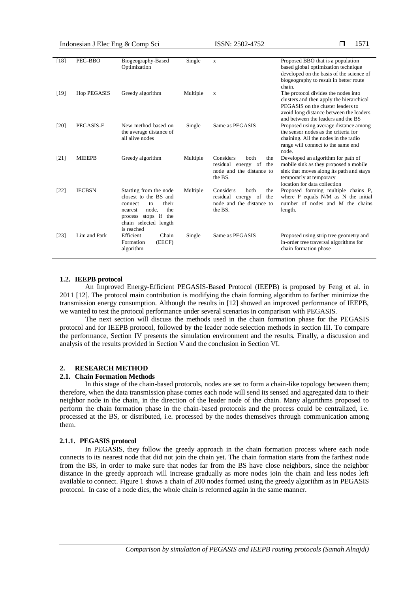Indonesian J Elec Eng & Comp Sci ISSN: 2502-4752

1571

| $[18]$ | PEG-BBO       | Biogeography-Based<br>Optimization                                                                                                                                     | Single   | $\mathbf x$                                                                                               | Proposed BBO that is a population<br>based global optimization technique<br>developed on the basis of the science of<br>biogeography to result in better route<br>chain.                              |
|--------|---------------|------------------------------------------------------------------------------------------------------------------------------------------------------------------------|----------|-----------------------------------------------------------------------------------------------------------|-------------------------------------------------------------------------------------------------------------------------------------------------------------------------------------------------------|
| [19]   | Hop PEGASIS   | Greedy algorithm                                                                                                                                                       | Multiple | X                                                                                                         | The protocol divides the nodes into<br>clusters and then apply the hierarchical<br>PEGASIS on the cluster leaders to<br>avoid long distance between the leaders<br>and between the leaders and the BS |
| [20]   | PEGASIS-E     | New method based on<br>the average distance of<br>all alive nodes                                                                                                      | Single   | Same as PEGASIS                                                                                           | Proposed using average distance among<br>the sensor nodes as the criteria for<br>chaining. All the nodes in the radio<br>range will connect to the same end<br>node.                                  |
| [21]   | <b>MIEEPB</b> | Greedy algorithm                                                                                                                                                       | Multiple | Considers<br><b>both</b><br>the<br>residual energy<br>of<br>the<br>node and the distance to<br>the BS.    | Developed an algorithm for path of<br>mobile sink as they proposed a mobile<br>sink that moves along its path and stays<br>temporarly at temporary<br>location for data collection                    |
| $[22]$ | <b>IECBSN</b> | Starting from the node<br>closest to the BS and<br>their<br>connect<br>to<br>node.<br>the<br>nearest<br>process stops if<br>the<br>chain selected length<br>is reached | Multiple | Considers<br><b>both</b><br>the<br>residual<br>of<br>the<br>energy<br>node and the distance to<br>the BS. | Proposed forming multiple chains P,<br>where P equals N/M as N the initial<br>number of nodes and M the chains<br>length.                                                                             |
| $[23]$ | Lim and Park  | Efficient<br>Chain<br>(EECF)<br>Formation<br>algorithm                                                                                                                 | Single   | Same as PEGASIS                                                                                           | Proposed using strip tree geometry and<br>in-order tree traversal algorithms for<br>chain formation phase                                                                                             |

#### **1.2. IEEPB protocol**

An Improved Energy-Efficient PEGASIS-Based Protocol (IEEPB) is proposed by Feng et al. in 2011 [12]. The protocol main contribution is modifying the chain forming algorithm to farther minimize the transmission energy consumption. Although the results in [12] showed an improved performance of IEEPB, we wanted to test the protocol performance under several scenarios in comparison with PEGASIS.

The next section will discuss the methods used in the chain formation phase for the PEGASIS protocol and for IEEPB protocol, followed by the leader node selection methods in section III. To compare the performance, Section IV presents the simulation environment and the results. Finally, a discussion and analysis of the results provided in Section V and the conclusion in Section VI.

#### **2. RESEARCH METHOD**

## **2.1. Chain Formation Methods**

In this stage of the chain-based protocols, nodes are set to form a chain-like topology between them; therefore, when the data transmission phase comes each node will send its sensed and aggregated data to their neighbor node in the chain, in the direction of the leader node of the chain. Many algorithms proposed to perform the chain formation phase in the chain-based protocols and the process could be centralized, i.e. processed at the BS, or distributed, i.e. processed by the nodes themselves through communication among them.

#### **2.1.1. PEGASIS protocol**

In PEGASIS, they follow the greedy approach in the chain formation process where each node connects to its nearest node that did not join the chain yet. The chain formation starts from the farthest node from the BS, in order to make sure that nodes far from the BS have close neighbors, since the neighbor distance in the greedy approach will increase gradually as more nodes join the chain and less nodes left available to connect. Figure 1 shows a chain of 200 nodes formed using the greedy algorithm as in PEGASIS protocol. In case of a node dies, the whole chain is reformed again in the same manner.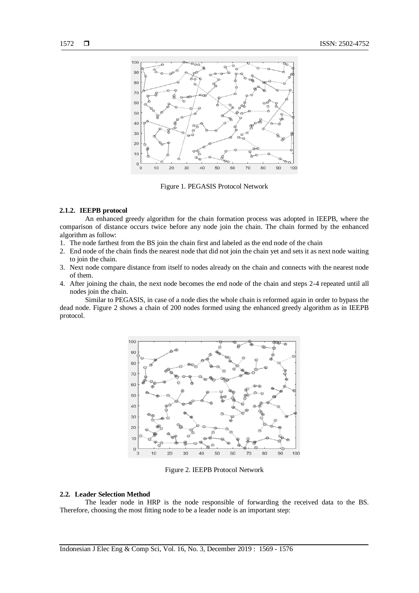

Figure 1. PEGASIS Protocol Network

#### **2.1.2. IEEPB protocol**

An enhanced greedy algorithm for the chain formation process was adopted in IEEPB, where the comparison of distance occurs twice before any node join the chain. The chain formed by the enhanced algorithm as follow:

- 1. The node farthest from the BS join the chain first and labeled as the end node of the chain
- 2. End node of the chain finds the nearest node that did not join the chain yet and sets it as next node waiting to join the chain.
- 3. Next node compare distance from itself to nodes already on the chain and connects with the nearest node of them.
- 4. After joining the chain, the next node becomes the end node of the chain and steps 2-4 repeated until all nodes join the chain.

Similar to PEGASIS, in case of a node dies the whole chain is reformed again in order to bypass the dead node. Figure 2 shows a chain of 200 nodes formed using the enhanced greedy algorithm as in IEEPB protocol.



Figure 2. IEEPB Protocol Network

### **2.2. Leader Selection Method**

The leader node in HRP is the node responsible of forwarding the received data to the BS. Therefore, choosing the most fitting node to be a leader node is an important step: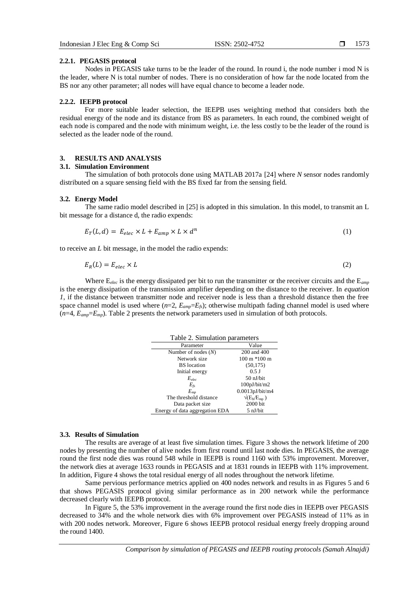Nodes in PEGASIS take turns to be the leader of the round. In round i, the node number i mod N is the leader, where N is total number of nodes. There is no consideration of how far the node located from the BS nor any other parameter; all nodes will have equal chance to become a leader node.

#### **2.2.2. IEEPB protocol**

For more suitable leader selection, the IEEPB uses weighting method that considers both the residual energy of the node and its distance from BS as parameters. In each round, the combined weight of each node is compared and the node with minimum weight, i.e. the less costly to be the leader of the round is selected as the leader node of the round.

## **3. RESULTS AND ANALYSIS**

# **3.1. Simulation Environment**

The simulation of both protocols done using MATLAB 2017a [24] where *N* sensor nodes randomly distributed on a square sensing field with the BS fixed far from the sensing field.

#### **3.2. Energy Model**

The same radio model described in [25] is adopted in this simulation. In this model, to transmit an L bit message for a distance d, the radio expends:

$$
E_T(L,d) = E_{elec} \times L + E_{amp} \times L \times d^n \tag{1}
$$

to receive an *L* bit message, in the model the radio expends:

$$
E_R(L) = E_{elec} \times L \tag{2}
$$

Where E*elec* is the energy dissipated per bit to run the transmitter or the receiver circuits and the E*amp* is the energy dissipation of the transmission amplifier depending on the distance to the receiver. In *equation 1*, if the distance between transmitter node and receiver node is less than a threshold distance then the free space channel model is used where  $(n=2, E_{amp}=E_f s)$ ; otherwise multipath fading channel model is used where (*n*=4, *Eamp*=*Emp*). Table 2 presents the network parameters used in simulation of both protocols.

| Table 2. Simulation parameters |                                                   |  |  |  |
|--------------------------------|---------------------------------------------------|--|--|--|
| Parameter                      | Value                                             |  |  |  |
| Number of nodes $(N)$          | 200 and 400                                       |  |  |  |
| Network size                   | $100 \text{ m} * 100 \text{ m}$                   |  |  |  |
| <b>BS</b> location             | (50, 175)                                         |  |  |  |
| Initial energy                 | $0.5$ J                                           |  |  |  |
| $E_{elec}$                     | 50 nJ/bit                                         |  |  |  |
| $E_{fs}$                       | 100pJ/bit/m2                                      |  |  |  |
| $E_{\mu\nu}$                   | 0.0013pJ/bit/m4                                   |  |  |  |
| The threshold distance         | $\sqrt{\left(E_{\text{fs}}/E_{\text{mp}}\right)}$ |  |  |  |
| Data packet size               | 2000 bit                                          |  |  |  |
| Energy of data aggregation EDA | $5 \frac{\text{nJ}}{\text{bit}}$                  |  |  |  |

#### **3.3. Results of Simulation**

The results are average of at least five simulation times. Figure 3 shows the network lifetime of 200 nodes by presenting the number of alive nodes from first round until last node dies. In PEGASIS, the average round the first node dies was round 548 while in IEEPB is round 1160 with 53% improvement. Moreover, the network dies at average 1633 rounds in PEGASIS and at 1831 rounds in IEEPB with 11% improvement. In addition, Figure 4 shows the total residual energy of all nodes throughout the network lifetime.

Same pervious performance metrics applied on 400 nodes network and results in as Figures 5 and 6 that shows PEGASIS protocol giving similar performance as in 200 network while the performance decreased clearly with IEEPB protocol.

In Figure 5, the 53% improvement in the average round the first node dies in IEEPB over PEGASIS decreased to 34% and the whole network dies with 6% improvement over PEGASIS instead of 11% as in with 200 nodes network. Moreover, Figure 6 shows IEEPB protocol residual energy freely dropping around the round 1400.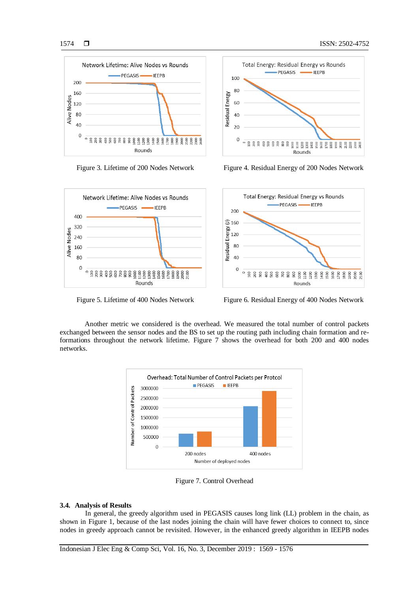





Figure 3. Lifetime of 200 Nodes Network Figure 4. Residual Energy of 200 Nodes Network



Figure 5. Lifetime of 400 Nodes Network Figure 6. Residual Energy of 400 Nodes Network

Another metric we considered is the overhead. We measured the total number of control packets exchanged between the sensor nodes and the BS to set up the routing path including chain formation and reformations throughout the network lifetime. Figure 7 shows the overhead for both 200 and 400 nodes networks.



Figure 7. Control Overhead

#### **3.4. Analysis of Results**

In general, the greedy algorithm used in PEGASIS causes long link (LL) problem in the chain, as shown in Figure 1, because of the last nodes joining the chain will have fewer choices to connect to, since nodes in greedy approach cannot be revisited. However, in the enhanced greedy algorithm in IEEPB nodes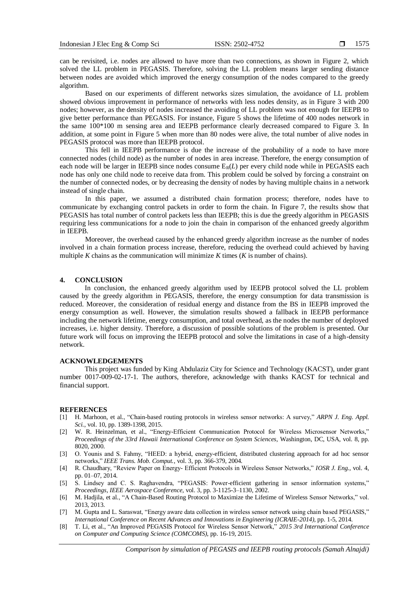can be revisited, i.e. nodes are allowed to have more than two connections, as shown in Figure 2, which solved the LL problem in PEGASIS. Therefore, solving the LL problem means larger sending distance between nodes are avoided which improved the energy consumption of the nodes compared to the greedy algorithm.

Based on our experiments of different networks sizes simulation, the avoidance of LL problem showed obvious improvement in performance of networks with less nodes density, as in Figure 3 with 200 nodes; however, as the density of nodes increased the avoiding of LL problem was not enough for IEEPB to give better performance than PEGASIS. For instance, Figure 5 shows the lifetime of 400 nodes network in the same 100\*100 m sensing area and IEEPB performance clearly decreased compared to Figure 3. In addition, at some point in Figure 5 when more than 80 nodes were alive, the total number of alive nodes in PEGASIS protocol was more than IEEPB protocol.

This fell in IEEPB performance is due the increase of the probability of a node to have more connected nodes (child node) as the number of nodes in area increase. Therefore, the energy consumption of each node will be larger in IEEPB since nodes consume  $E_R(L)$  per every child node while in PEGASIS each node has only one child node to receive data from. This problem could be solved by forcing a constraint on the number of connected nodes, or by decreasing the density of nodes by having multiple chains in a network instead of single chain.

In this paper, we assumed a distributed chain formation process; therefore, nodes have to communicate by exchanging control packets in order to form the chain. In Figure 7, the results show that PEGASIS has total number of control packets less than IEEPB; this is due the greedy algorithm in PEGASIS requiring less communications for a node to join the chain in comparison of the enhanced greedy algorithm in IEEPB.

Moreover, the overhead caused by the enhanced greedy algorithm increase as the number of nodes involved in a chain formation process increase, therefore, reducing the overhead could achieved by having multiple *K* chains as the communication will minimize *K* times (*K* is number of chains).

#### **4. CONCLUSION**

In conclusion, the enhanced greedy algorithm used by IEEPB protocol solved the LL problem caused by the greedy algorithm in PEGASIS, therefore, the energy consumption for data transmission is reduced. Moreover, the consideration of residual energy and distance from the BS in IEEPB improved the energy consumption as well. However, the simulation results showed a fallback in IEEPB performance including the network lifetime, energy consumption, and total overhead, as the nodes the number of deployed increases, i.e. higher density. Therefore, a discussion of possible solutions of the problem is presented. Our future work will focus on improving the IEEPB protocol and solve the limitations in case of a high-density network.

#### **ACKNOWLEDGEMENTS**

This project was funded by King Abdulaziz City for Science and Technology (KACST), under grant number 0017-009-02-17-1. The authors, therefore, acknowledge with thanks KACST for technical and financial support.

#### **REFERENCES**

- [1] H. Marhoon, et al., "Chain-based routing protocols in wireless sensor networks: A survey," *ARPN J. Eng. Appl. Sci.*, vol. 10, pp. 1389-1398, 2015.
- [2] W. R. Heinzelman, et al., "Energy-Efficient Communication Protocol for Wireless Microsensor Networks," *Proceedings of the 33rd Hawaii International Conference on System Sciences,* Washington, DC, USA, vol. 8, pp. 8020, 2000.
- [3] O. Younis and S. Fahmy, "HEED: a hybrid, energy-efficient, distributed clustering approach for ad hoc sensor networks," *IEEE Trans. Mob. Comput.*, vol. 3, pp. 366-379, 2004.
- [4] R. Chaudhary, "Review Paper on Energy- Efficient Protocols in Wireless Sensor Networks," *IOSR J. Eng.*, vol. 4, pp. 01–07, 2014.
- [5] S. Lindsey and C. S. Raghavendra, "PEGASIS: Power-efficient gathering in sensor information systems," *Proceedings, IEEE Aerospace Conference*, vol. 3, pp. 3-1125-3–1130, 2002.
- [6] M. Hadjila, et al., "A Chain-Based Routing Protocol to Maximize the Lifetime of Wireless Sensor Networks," vol. 2013, 2013.
- [7] M. Gupta and L. Saraswat, "Energy aware data collection in wireless sensor network using chain based PEGASIS," *International Conference on Recent Advances and Innovations in Engineering (ICRAIE-2014)*, pp. 1-5, 2014.
- [8] T. Li, et al., "An Improved PEGASIS Protocol for Wireless Sensor Network," *2015 3rd International Conference on Computer and Computing Science (COMCOMS)*, pp. 16-19, 2015.